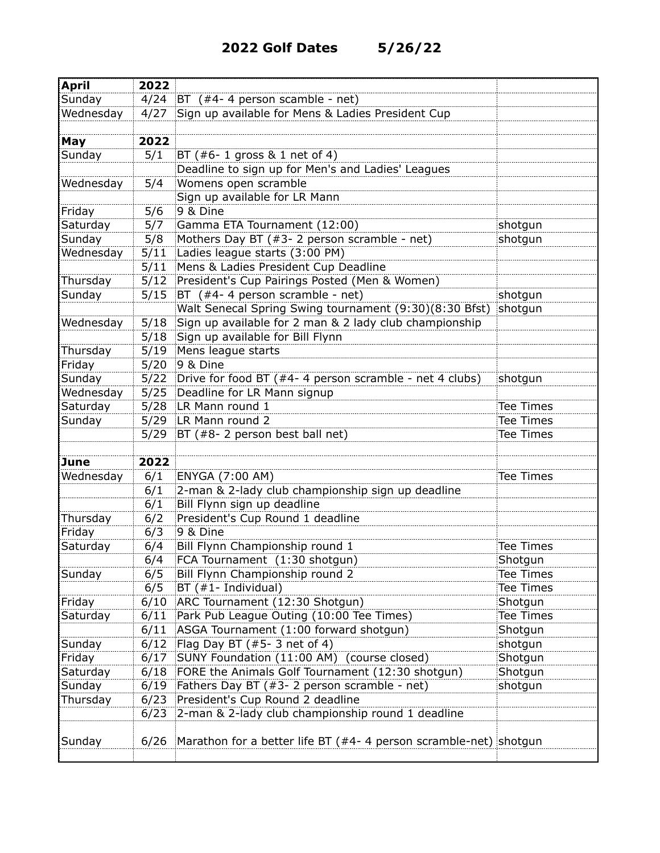| <b>April</b> | 2022 |                                                                     |                  |
|--------------|------|---------------------------------------------------------------------|------------------|
| Sunday       |      | 4/24 BT $($ #4- 4 person scamble - net)                             |                  |
| Wednesday    |      | 4/27 Sign up available for Mens & Ladies President Cup              |                  |
|              |      |                                                                     |                  |
| May          | 2022 |                                                                     |                  |
| Sunday       | 5/1  | BT (#6-1 gross & 1 net of 4)                                        |                  |
|              |      | Deadline to sign up for Men's and Ladies' Leagues                   |                  |
| Wednesday    | 5/4  | Womens open scramble                                                |                  |
|              |      | Sign up available for LR Mann                                       |                  |
| Friday       | 5/6  | 9 & Dine                                                            |                  |
| Saturday     | 5/7  | Gamma ETA Tournament (12:00)                                        | shotgun          |
| Sunday       | 5/8  | Mothers Day BT (#3- 2 person scramble - net)                        | shotgun          |
| Wednesday    | 5/11 | Ladies league starts (3:00 PM)                                      |                  |
|              | 5/11 | Mens & Ladies President Cup Deadline                                |                  |
| Thursday     |      | 5/12 President's Cup Pairings Posted (Men & Women)                  |                  |
| Sunday       |      | 5/15 BT $(*4-4$ person scramble - net)                              | shotgun          |
|              |      | Walt Senecal Spring Swing tournament (9:30)(8:30 Bfst)              | shotgun          |
| Wednesday    | 5/18 | Sign up available for 2 man & 2 lady club championship              |                  |
|              |      | 5/18 Sign up available for Bill Flynn                               |                  |
| Thursday     | 5/19 | Mens league starts                                                  |                  |
| Friday       |      | 5/20 9 & Dine                                                       |                  |
| Sunday       |      | 5/22 Drive for food BT (#4-4 person scramble - net 4 clubs)         | shotgun          |
| Wednesday    |      | 5/25 Deadline for LR Mann signup                                    |                  |
| Saturday     |      | 5/28 LR Mann round 1                                                | Tee Times        |
| Sunday       |      | 5/29 LR Mann round 2                                                | <b>Tee Times</b> |
|              | 5/29 | BT (#8-2 person best ball net)                                      | Tee Times        |
|              |      |                                                                     |                  |
| June         | 2022 |                                                                     |                  |
| Wednesday    | 6/1  | ENYGA (7:00 AM)                                                     | Tee Times        |
|              | 6/1  | 2-man & 2-lady club championship sign up deadline                   |                  |
|              | 6/1  | Bill Flynn sign up deadline                                         |                  |
| Thursday     | 6/2  | President's Cup Round 1 deadline                                    |                  |
| Friday       | 6/3  | 9 & Dine                                                            |                  |
| Saturday     | 6/4  | Bill Flynn Championship round 1                                     | Tee Times        |
|              | 6/4  | FCA Tournament (1:30 shotgun)                                       | Shotgun          |
| Sunday       | 6/5  | Bill Flynn Championship round 2                                     | Tee Times        |
|              | 6/5  | BT (#1- Individual)                                                 | Tee Times        |
| Friday       | 6/10 | ARC Tournament (12:30 Shotgun)                                      | Shotgun          |
| Saturday     | 6/11 | Park Pub League Outing (10:00 Tee Times)                            | <b>Tee Times</b> |
|              |      | 6/11 ASGA Tournament (1:00 forward shotgun)                         | Shotgun          |
| Sunday       | 6/12 | Flag Day BT $(*5-3$ net of 4)                                       | shotgun          |
| Friday       |      | 6/17 SUNY Foundation (11:00 AM) (course closed)                     | Shotgun          |
| Saturday     | 6/18 | FORE the Animals Golf Tournament (12:30 shotgun)                    | Shotgun          |
| Sunday       | 6/19 | Fathers Day BT (#3- 2 person scramble - net)                        | shotgun          |
| Thursday     | 6/23 | President's Cup Round 2 deadline                                    |                  |
|              | 6/23 | 2-man & 2-lady club championship round 1 deadline                   |                  |
| Sunday       | 6/26 | Marathon for a better life BT ( $#4-4$ person scramble-net) shotgun |                  |
|              |      |                                                                     |                  |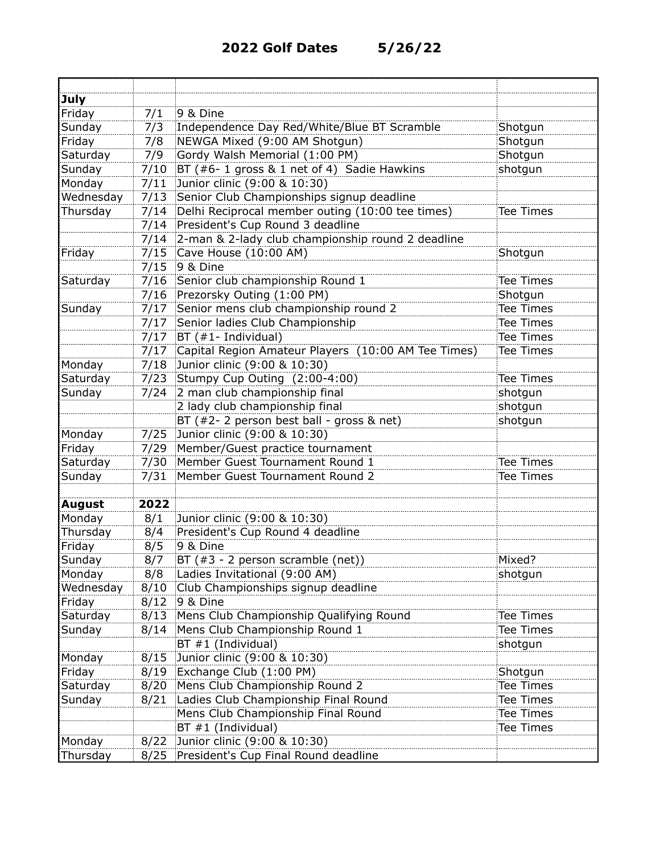| <b>July</b> |      |                                                     |                  |
|-------------|------|-----------------------------------------------------|------------------|
| Friday      | 7/1  | 9 & Dine                                            |                  |
| Sunday      | 7/3  | Independence Day Red/White/Blue BT Scramble         | Shotgun          |
| Friday      | 7/8  | NEWGA Mixed (9:00 AM Shotgun)                       | Shotgun          |
| Saturday    | 7/9  | Gordy Walsh Memorial (1:00 PM)                      | Shotgun          |
| Sunday      | 7/10 | BT (#6- 1 gross & 1 net of 4) Sadie Hawkins         | shotgun          |
| Monday      | 7/11 | Junior clinic (9:00 & 10:30)                        |                  |
| Wednesday   | 7/13 | Senior Club Championships signup deadline           |                  |
| Thursday    | 7/14 | Delhi Reciprocal member outing (10:00 tee times)    | Tee Times        |
|             | 7/14 | President's Cup Round 3 deadline                    |                  |
|             | 7/14 | 2-man & 2-lady club championship round 2 deadline   |                  |
| Friday      | 7/15 | Cave House (10:00 AM)                               | Shotgun          |
|             | 7/15 | 9 & Dine                                            |                  |
| Saturday    |      | 7/16 Senior club championship Round 1               | <b>Tee Times</b> |
|             |      | 7/16 Prezorsky Outing (1:00 PM)                     | Shotgun          |
| Sunday      |      | 7/17 Senior mens club championship round 2          | Tee Times        |
|             |      | 7/17 Senior ladies Club Championship                | Tee Times        |
|             |      | $7/17$ BT (#1- Individual)                          | <b>Tee Times</b> |
|             | 7/17 | Capital Region Amateur Players (10:00 AM Tee Times) | Tee Times        |
| Monday      | 7/18 | Junior clinic (9:00 & 10:30)                        |                  |
| Saturday    | 7/23 | Stumpy Cup Outing (2:00-4:00)                       | Tee Times        |
| Sunday      | 7/24 | 2 man club championship final                       | shotgun          |
|             |      | 2 lady club championship final                      | shotgun          |
|             |      | BT (#2-2 person best ball - gross & net)            | shotgun          |
| Monday      | 7/25 | Junior clinic (9:00 & 10:30)                        |                  |
| Friday      | 7/29 | Member/Guest practice tournament                    |                  |
| Saturday    | 7/30 | Member Guest Tournament Round 1                     | Tee Times        |
| Sunday      | 7/31 | Member Guest Tournament Round 2                     | Tee Times        |
|             |      |                                                     |                  |
| August      | 2022 |                                                     |                  |
| Monday      | 8/1  | Junior clinic (9:00 & 10:30)                        |                  |
| Thursday    | 8/4  | President's Cup Round 4 deadline                    |                  |
| Friday      | 8/5  | 9 & Dine                                            |                  |
| Sunday      | 8/7  | BT (#3 - 2 person scramble (net))                   | Mixed?           |
| Monday      | 8/8  | Ladies Invitational (9:00 AM)                       | shotgun          |
| Wednesday   | 8/10 | Club Championships signup deadline                  |                  |
| Friday      | 8/12 | 9 & Dine                                            |                  |
| Saturday    | 8/13 | Mens Club Championship Qualifying Round             | Tee Times        |
| Sunday      | 8/14 | Mens Club Championship Round 1                      | Tee Times        |
|             |      | $BT #1$ (Individual)                                | shotgun          |
| Monday      | 8/15 | Junior clinic (9:00 & 10:30)                        |                  |
| Friday      | 8/19 | Exchange Club (1:00 PM)                             | Shotgun          |
| Saturday    | 8/20 | Mens Club Championship Round 2                      | Tee Times        |
| Sunday      | 8/21 | Ladies Club Championship Final Round                | Tee Times        |
|             |      | Mens Club Championship Final Round                  | Tee Times        |
|             |      | $BT #1$ (Individual)                                | Tee Times        |
| Monday      | 8/22 | Junior clinic (9:00 & 10:30)                        |                  |
| Thursday    | 8/25 | President's Cup Final Round deadline                |                  |